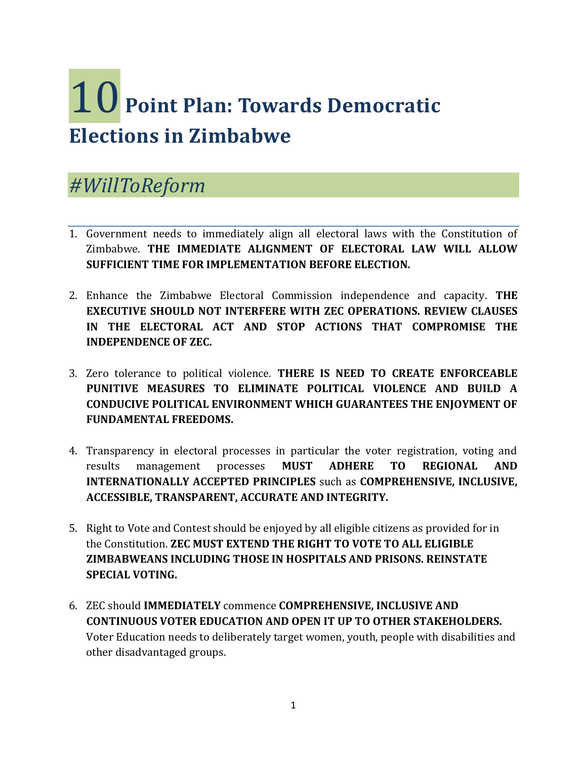## 10 **Point Plan: Towards Democratic Elections in Zimbabwe**

## *#WillToReform*

- 1. Government needs to immediately align all electoral laws with the Constitution of Zimbabwe. **THE IMMEDIATE ALIGNMENT OF ELECTORAL LAW WILL ALLOW SUFFICIENT TIME FOR IMPLEMENTATION BEFORE ELECTION.**
- 2. Enhance the Zimbabwe Electoral Commission independence and capacity. **THE EXECUTIVE SHOULD NOT INTERFERE WITH ZEC OPERATIONS. REVIEW CLAUSES IN THE ELECTORAL ACT AND STOP ACTIONS THAT COMPROMISE THE INDEPENDENCE OF ZEC.**
- 3. Zero tolerance to political violence. **THERE IS NEED TO CREATE ENFORCEABLE PUNITIVE MEASURES TO ELIMINATE POLITICAL VIOLENCE AND BUILD A CONDUCIVE POLITICAL ENVIRONMENT WHICH GUARANTEES THE ENJOYMENT OF FUNDAMENTAL FREEDOMS.**
- 4. Transparency in electoral processes in particular the voter registration, voting and results management processes **MUST ADHERE TO REGIONAL AND INTERNATIONALLY ACCEPTED PRINCIPLES** such as **COMPREHENSIVE, INCLUSIVE, ACCESSIBLE, TRANSPARENT, ACCURATE AND INTEGRITY.**
- 5. Right to Vote and Contest should be enjoyed by all eligible citizens as provided for in the Constitution. **ZEC MUST EXTEND THE RIGHT TO VOTE TO ALL ELIGIBLE ZIMBABWEANS INCLUDING THOSE IN HOSPITALS AND PRISONS. REINSTATE SPECIAL VOTING.**
- 6. ZEC should **IMMEDIATELY** commence **COMPREHENSIVE, INCLUSIVE AND CONTINUOUS VOTER EDUCATION AND OPEN IT UP TO OTHER STAKEHOLDERS.** Voter Education needs to deliberately target women, youth, people with disabilities and other disadvantaged groups.